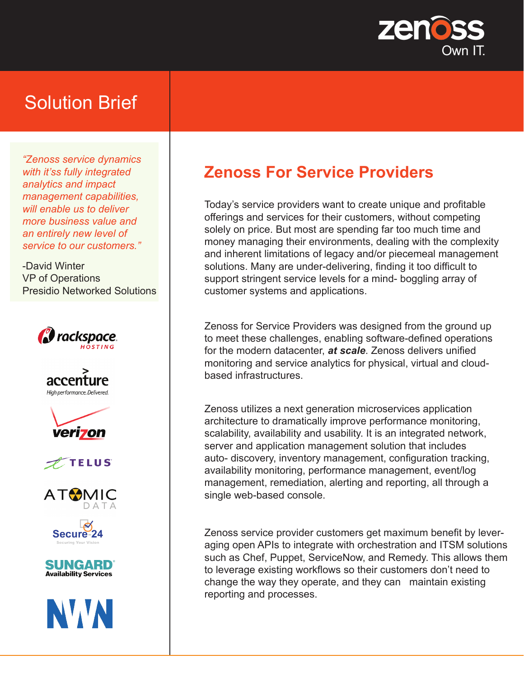

# Solution Brief

*"Zenoss service dynamics with it'ss fully integrated analytics and impact management capabilities, will enable us to deliver more business value and an entirely new level of service to our customers."*

-David Winter VP of Operations Presidio Networked Solutions

















## **Zenoss For Service Providers**

Today's service providers want to create unique and profitable offerings and services for their customers, without competing solely on price. But most are spending far too much time and money managing their environments, dealing with the complexity and inherent limitations of legacy and/or piecemeal management solutions. Many are under-delivering, finding it too difficult to support stringent service levels for a mind- boggling array of customer systems and applications.

Zenoss for Service Providers was designed from the ground up to meet these challenges, enabling software-defined operations for the modern datacenter, *at scale*. Zenoss delivers unified monitoring and service analytics for physical, virtual and cloudbased infrastructures.

Zenoss utilizes a next generation microservices application architecture to dramatically improve performance monitoring, scalability, availability and usability. It is an integrated network, server and application management solution that includes auto- discovery, inventory management, configuration tracking, availability monitoring, performance management, event/log management, remediation, alerting and reporting, all through a single web-based console.

Zenoss service provider customers get maximum benefit by leveraging open APIs to integrate with orchestration and ITSM solutions such as Chef, Puppet, ServiceNow, and Remedy. This allows them to leverage existing workflows so their customers don't need to change the way they operate, and they can maintain existing reporting and processes.